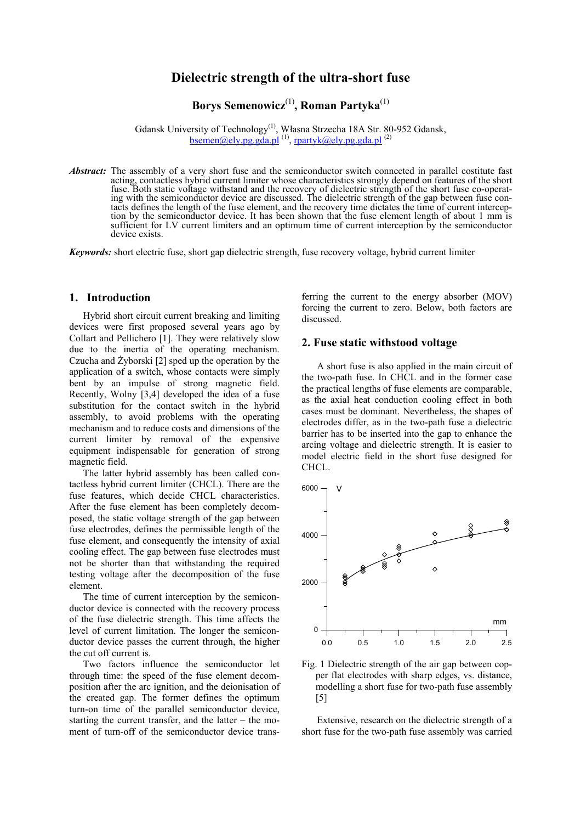# **Dielectric strength of the ultra-short fuse**

# **Borys Semenowicz**(1)**, Roman Partyka**(1)

Gdansk University of Technology(1), Własna Strzecha 18A Str. 80-952 Gdansk, bsemen@ely.pg.gda.pl<sup>(1)</sup>, rpartyk@ely.pg.gda.pl<sup>(2)</sup>

*Abstract:* The assembly of a very short fuse and the semiconductor switch connected in parallel costitute fast acting, contactless hybrid current limiter whose characteristics strongly depend on features of the short fuse. Both static voltage withstand and the recovery of dielectric strength of the short fuse co-operating with the semiconductor device are discussed. The dielectric strength of the gap between fuse contacts defines the length of the fuse element, and the recovery time dictates the time of current interception by the semiconductor device. It has been shown that the fuse element length of about 1 mm is sufficient for LV current limiters and an optimum time of current interception by the semiconductor device exists.

*Keywords:* short electric fuse, short gap dielectric strength, fuse recovery voltage, hybrid current limiter

### **1. Introduction**

Hybrid short circuit current breaking and limiting devices were first proposed several years ago by Collart and Pellichero [1]. They were relatively slow due to the inertia of the operating mechanism. Czucha and  $\dot{Z}$ yborski [2] sped up the operation by the application of a switch, whose contacts were simply bent by an impulse of strong magnetic field. Recently, Wolny [3,4] developed the idea of a fuse substitution for the contact switch in the hybrid assembly, to avoid problems with the operating mechanism and to reduce costs and dimensions of the current limiter by removal of the expensive equipment indispensable for generation of strong magnetic field.

The latter hybrid assembly has been called contactless hybrid current limiter (CHCL). There are the fuse features, which decide CHCL characteristics. After the fuse element has been completely decomposed, the static voltage strength of the gap between fuse electrodes, defines the permissible length of the fuse element, and consequently the intensity of axial cooling effect. The gap between fuse electrodes must not be shorter than that withstanding the required testing voltage after the decomposition of the fuse element.

The time of current interception by the semiconductor device is connected with the recovery process of the fuse dielectric strength. This time affects the level of current limitation. The longer the semiconductor device passes the current through, the higher the cut off current is.

Two factors influence the semiconductor let through time: the speed of the fuse element decomposition after the arc ignition, and the deionisation of the created gap. The former defines the optimum turn-on time of the parallel semiconductor device, starting the current transfer, and the latter – the moment of turn-off of the semiconductor device transferring the current to the energy absorber (MOV) forcing the current to zero. Below, both factors are discussed.

### **2. Fuse static withstood voltage**

A short fuse is also applied in the main circuit of the two-path fuse. In CHCL and in the former case the practical lengths of fuse elements are comparable, as the axial heat conduction cooling effect in both cases must be dominant. Nevertheless, the shapes of electrodes differ, as in the two-path fuse a dielectric barrier has to be inserted into the gap to enhance the arcing voltage and dielectric strength. It is easier to model electric field in the short fuse designed for CHCL.



Fig. 1 Dielectric strength of the air gap between copper flat electrodes with sharp edges, vs. distance, modelling a short fuse for two-path fuse assembly [5]

Extensive, research on the dielectric strength of a short fuse for the two-path fuse assembly was carried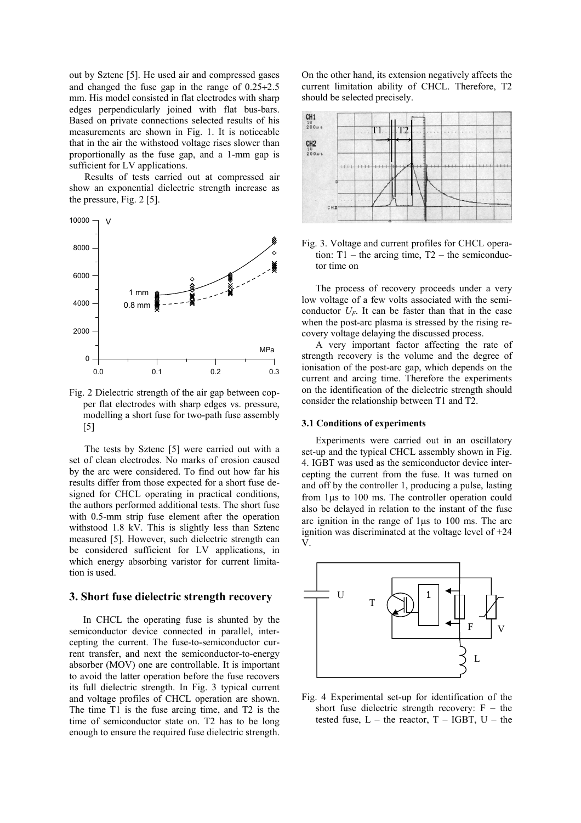out by Sztenc [5]. He used air and compressed gases and changed the fuse gap in the range of 0.25÷2.5 mm. His model consisted in flat electrodes with sharp edges perpendicularly joined with flat bus-bars. Based on private connections selected results of his measurements are shown in Fig. 1. It is noticeable that in the air the withstood voltage rises slower than proportionally as the fuse gap, and a 1-mm gap is sufficient for LV applications.

Results of tests carried out at compressed air show an exponential dielectric strength increase as the pressure, Fig. 2 [5].



Fig. 2 Dielectric strength of the air gap between copper flat electrodes with sharp edges vs. pressure, modelling a short fuse for two-path fuse assembly [5]

The tests by Sztenc [5] were carried out with a set of clean electrodes. No marks of erosion caused by the arc were considered. To find out how far his results differ from those expected for a short fuse designed for CHCL operating in practical conditions, the authors performed additional tests. The short fuse with 0.5-mm strip fuse element after the operation withstood 1.8 kV. This is slightly less than Sztenc measured [5]. However, such dielectric strength can be considered sufficient for LV applications, in which energy absorbing varistor for current limitation is used.

#### **3. Short fuse dielectric strength recovery**

In CHCL the operating fuse is shunted by the semiconductor device connected in parallel, intercepting the current. The fuse-to-semiconductor current transfer, and next the semiconductor-to-energy absorber (MOV) one are controllable. It is important to avoid the latter operation before the fuse recovers its full dielectric strength. In Fig. 3 typical current and voltage profiles of CHCL operation are shown. The time T1 is the fuse arcing time, and T2 is the time of semiconductor state on. T2 has to be long enough to ensure the required fuse dielectric strength.

On the other hand, its extension negatively affects the current limitation ability of CHCL. Therefore, T2 should be selected precisely.



Fig. 3. Voltage and current profiles for CHCL operation:  $T1$  – the arcing time,  $T2$  – the semiconductor time on

The process of recovery proceeds under a very low voltage of a few volts associated with the semiconductor  $U_F$ . It can be faster than that in the case when the post-arc plasma is stressed by the rising recovery voltage delaying the discussed process.

A very important factor affecting the rate of strength recovery is the volume and the degree of ionisation of the post-arc gap, which depends on the current and arcing time. Therefore the experiments on the identification of the dielectric strength should consider the relationship between T1 and T2.

#### **3.1 Conditions of experiments**

Experiments were carried out in an oscillatory set-up and the typical CHCL assembly shown in Fig. 4. IGBT was used as the semiconductor device intercepting the current from the fuse. It was turned on and off by the controller 1, producing a pulse, lasting from 1µs to 100 ms. The controller operation could also be delayed in relation to the instant of the fuse arc ignition in the range of 1µs to 100 ms. The arc ignition was discriminated at the voltage level of +24 V.



Fig. 4 Experimental set-up for identification of the short fuse dielectric strength recovery:  $F -$  the tested fuse,  $L -$  the reactor,  $T - IGBT$ ,  $U -$  the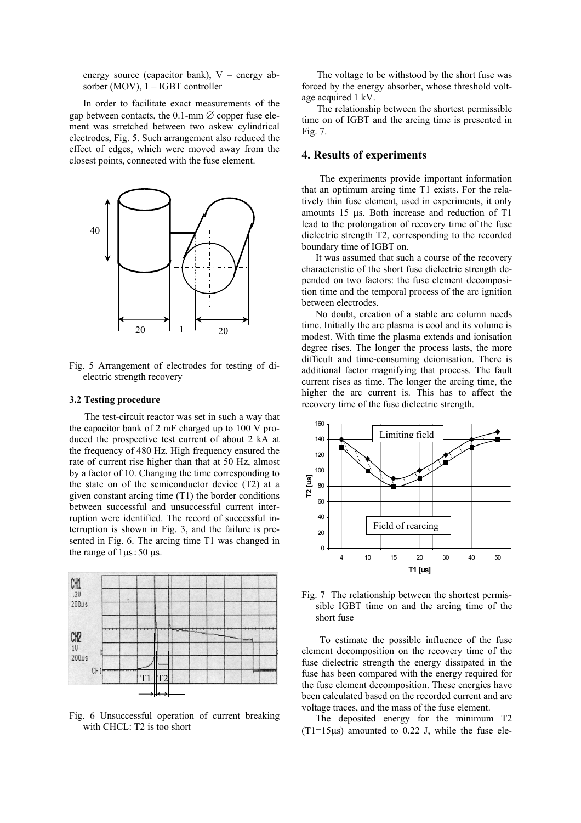energy source (capacitor bank), V – energy absorber (MOV), 1 – IGBT controller

In order to facilitate exact measurements of the gap between contacts, the 0.1-mm  $\varnothing$  copper fuse element was stretched between two askew cylindrical electrodes, Fig. 5. Such arrangement also reduced the effect of edges, which were moved away from the closest points, connected with the fuse element.



Fig. 5 Arrangement of electrodes for testing of dielectric strength recovery

### **3.2 Testing procedure**

The test-circuit reactor was set in such a way that the capacitor bank of 2 mF charged up to 100 V produced the prospective test current of about 2 kA at the frequency of 480 Hz. High frequency ensured the rate of current rise higher than that at 50 Hz, almost by a factor of 10. Changing the time corresponding to the state on of the semiconductor device (T2) at a given constant arcing time (T1) the border conditions between successful and unsuccessful current interruption were identified. The record of successful interruption is shown in Fig. 3, and the failure is presented in Fig. 6. The arcing time T1 was changed in the range of  $1\mu s \div 50 \mu s$ .



Fig. 6 Unsuccessful operation of current breaking with CHCL: T2 is too short

The voltage to be withstood by the short fuse was forced by the energy absorber, whose threshold voltage acquired 1 kV.

The relationship between the shortest permissible time on of IGBT and the arcing time is presented in Fig. 7.

## **4. Results of experiments**

 The experiments provide important information that an optimum arcing time T1 exists. For the relatively thin fuse element, used in experiments, it only amounts 15 µs. Both increase and reduction of T1 lead to the prolongation of recovery time of the fuse dielectric strength T2, corresponding to the recorded boundary time of IGBT on.

It was assumed that such a course of the recovery characteristic of the short fuse dielectric strength depended on two factors: the fuse element decomposition time and the temporal process of the arc ignition between electrodes.

No doubt, creation of a stable arc column needs time. Initially the arc plasma is cool and its volume is modest. With time the plasma extends and ionisation degree rises. The longer the process lasts, the more difficult and time-consuming deionisation. There is additional factor magnifying that process. The fault current rises as time. The longer the arcing time, the higher the arc current is. This has to affect the recovery time of the fuse dielectric strength.



Fig. 7 The relationship between the shortest permissible IGBT time on and the arcing time of the short fuse

 To estimate the possible influence of the fuse element decomposition on the recovery time of the fuse dielectric strength the energy dissipated in the fuse has been compared with the energy required for the fuse element decomposition. These energies have been calculated based on the recorded current and arc voltage traces, and the mass of the fuse element.

The deposited energy for the minimum T2  $(T1=15\mu s)$  amounted to 0.22 J, while the fuse ele-